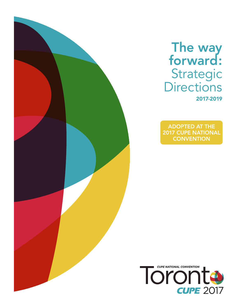## The way forward: Strategic **Directions** 2017-2019

ADOPTED AT THE 2017 CUPE NATIONAL **CONVENTION** 

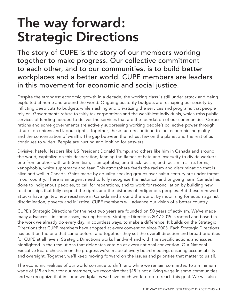# The way forward: Strategic Directions

The story of CUPE is the story of our members working together to make progress. Our collective commitment to each other, and to our communities, is to build better workplaces and a better world. CUPE members are leaders in this movement for economic and social justice.

Despite the strongest economic growth in a decade, the working class is still under attack and being exploited at home and around the world. Ongoing austerity budgets are reshaping our society by inflicting deep cuts to budgets while slashing and privatizing the services and programs that people rely on. Governments refuse to fairly tax corporations and the wealthiest individuals, which robs public services of funding needed to deliver the services that are the foundation of our communities. Corporations and some governments are actively suppressing working people's collective power through attacks on unions and labour rights. Together, these factors continue to fuel economic inequality and the concentration of wealth. The gap between the richest few on the planet and the rest of us continues to widen. People are hurting and looking for answers.

Divisive, hateful leaders like US President Donald Trump, and others like him in Canada and around the world, capitalize on this desperation, fanning the flames of hate and insecurity to divide workers one from another with anti-Semitism, Islamophobia, anti-Black racism, and racism in all its forms, xenophobia, white supremacy and fear. This atmosphere feeds the racism and discrimination that is alive and well in Canada. Gains made by equality-seeking groups over half a century are under threat in our country. There is an urgent need to fully recognize the historical and ongoing harm Canada has done to Indigenous peoples, to call for reparations, and to work for reconciliation by building new relationships that fully respect the rights and the histories of Indigenous peoples. But these renewed attacks have ignited new resistance in Canada and around the world. By mobilizing for action against discrimination, poverty and injustice, CUPE members will advance our vision of a better country.

CUPE's Strategic Directions for the next two years are founded on 50 years of activism. We've made many advances – in some cases, making history. Strategic Directions 2017-2019 is rooted and based in the work we already do every day, in countless ways, to make a difference. It builds on the Strategic Directions that CUPE members have adopted at every convention since 2003. Each Strategic Directions has built on the one that came before, and together they set the overall direction and broad priorities for CUPE at all levels. Strategic Directions works hand-in-hand with the specific actions and issues highlighted in the resolutions that delegates vote on at every national convention. Our National Executive Board checks in on the progress we've made at every board meeting, ensuring accountability and oversight. Together, we'll keep moving forward on the issues and priorities that matter to us all.

The economic realities of our world continue to shift, and while we remain committed to a minimum wage of \$18 an hour for our members, we recognize that \$18 is not a living wage in some communities, and we recognize that in some workplaces we have much work to do to reach this goal. We will also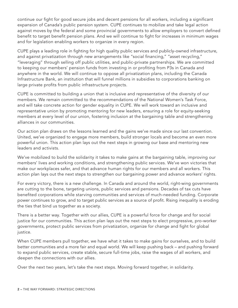continue our fight for good secure jobs and decent pensions for all workers, including a significant expansion of Canada's public pension system. CUPE continues to mobilize and take legal action against moves by the federal and some provincial governments to allow employers to convert defined benefit to target benefit pension plans. And we will continue to fight for increases in minimum wages and for legislation enabling workers to organize in every region.

CUPE plays a leading role in fighting for high quality public services and publicly-owned infrastructure, and against privatization through new arrangements like "social financing," "asset recycling," "leveraging" through selling off public utilities, and public-private partnerships. We are committed to keeping our members' pension funds from investing in or profiting from P3s in Canada and anywhere in the world. We will continue to oppose all privatization plans, including the Canada Infrastructure Bank, an institution that will funnel millions in subsidies to corporations banking on large private profits from public infrastructure projects.

CUPE is committed to building a union that is inclusive and representative of the diversity of our members. We remain committed to the recommendations of the National Women's Task Force, and will take concrete action for gender equality in CUPE. We will work toward an inclusive and representative union by promoting mentoring for new leaders, ensuring a role for equity-seeking members at every level of our union, fostering inclusion at the bargaining table and strengthening alliances in our communities.

Our action plan draws on the lessons learned and the gains we've made since our last convention. United, we've organized to engage more members, build stronger locals and become an even more powerful union. This action plan lays out the next steps in growing our base and mentoring new leaders and activists.

We've mobilized to build the solidarity it takes to make gains at the bargaining table, improving our members' lives and working conditions, and strengthening public services. We've won victories that make our workplaces safer, and that advance human rights for our members and all workers. This action plan lays out the next steps to strengthen our bargaining power and advance workers' rights.

For every victory, there is a new challenge. In Canada and around the world, right-wing governments are cutting to the bone, targeting unions, public services and pensions. Decades of tax cuts have benefited corporations while starving communities and services of much-needed funding. Corporate power continues to grow, and to target public services as a source of profit. Rising inequality is eroding the ties that bind us together as a society.

There is a better way. Together with our allies, CUPE is a powerful force for change and for social justice for our communities. This action plan lays out the next steps to elect progressive, pro-worker governments, protect public services from privatization, organize for change and fight for global justice.

When CUPE members pull together, we have what it takes to make gains for ourselves, and to build better communities and a more fair and equal world. We will keep pushing back – and pushing forward to expand public services, create stable, secure full-time jobs, raise the wages of all workers, and deepen the connections with our allies.

Over the next two years, let's take the next steps. Moving forward together, in solidarity.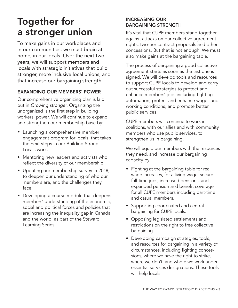## Together for a stronger union

To make gains in our workplaces and in our communities, we must begin at home, in our locals. Over the next two years, we will support members and locals with strategic initiatives that build stronger, more inclusive local unions, and that increase our bargaining strength.

#### EXPANDING OUR MEMBERS' POWER

Our comprehensive organizing plan is laid out in *Growing stronger*. Organizing the unorganized is the first step in building workers' power. We will continue to expand and strengthen our membership base by:

- Launching a comprehensive member engagement program for locals, that takes the next steps in our Building Strong Locals work.
- Mentoring new leaders and activists who reflect the diversity of our membership.
- Updating our membership survey in 2018, to deepen our understanding of who our members are, and the challenges they face.
- Developing a course module that deepens members' understanding of the economic, social and political forces and policies that are increasing the inequality gap in Canada and the world, as part of the Steward Learning Series.

#### INCREASING OUR BARGAINING STRENGTH

It's vital that CUPE members stand together against attacks on our collective agreement rights, two-tier contract proposals and other concessions. But that is not enough. We must also make gains at the bargaining table.

The process of bargaining a good collective agreement starts as soon as the last one is signed. We will develop tools and resources to support CUPE locals to develop and carry out successful strategies to protect and enhance members' jobs including fighting automation, protect and enhance wages and working conditions, and promote better public services.

CUPE members will continue to work in coalitions, with our allies and with community members who use public services, to strengthen us in bargaining.

We will equip our members with the resources they need, and increase our bargaining capacity by:

- Fighting at the bargaining table for real wage increases, for a living wage, secure full-time jobs, increased pensions, and expanded pension and benefit coverage for all CUPE members including part-time and casual members.
- Supporting coordinated and central bargaining for CUPE locals.
- Opposing legislated settlements and restrictions on the right to free collective bargaining.
- Developing campaign strategies, tools, and resources for bargaining in a variety of circumstances, including fighting concessions, where we have the right to strike, where we don't, and where we work under essential services designations. These tools will help locals: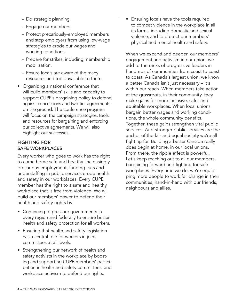- Do strategic planning.
- Engage our members.
- Protect precariously-employed members and stop employers from using low-wage strategies to erode our wages and working conditions.
- Prepare for strikes, including membership mobilization.
- Ensure locals are aware of the many resources and tools available to them.
- Organizing a national conference that will build members' skills and capacity to support CUPE's bargaining policy to defend against concessions and two-tier agreements on the ground. The conference program will focus on the campaign strategies, tools and resources for bargaining and enforcing our collective agreements. We will also highlight our successes.

#### FIGHTING FOR SAFE WORKPLACES

Every worker who goes to work has the right to come home safe and healthy. Increasingly precarious employment, funding cuts and understaffing in public services erode health and safety in our workplaces. Every CUPE member has the right to a safe and healthy workplace that is free from violence. We will build our members' power to defend their health and safety rights by:

- Continuing to pressure governments in every region and federally to ensure better health and safety protection for all workers.
- Ensuring that health and safety legislation has a central role for workers in joint committees at all levels.
- Strengthening our network of health and safety activists in the workplace by boosting and supporting CUPE members' participation in health and safety committees, and workplace activism to defend our rights.

• Ensuring locals have the tools required to combat violence in the workplace in all its forms, including domestic and sexual violence, and to protect our members' physical and mental health and safety.

When we expand and deepen our members' engagement and activism in our union, we add to the ranks of progressive leaders in hundreds of communities from coast to coast to coast. As Canada's largest union, we know a better Canada isn't just necessary – it's within our reach. When members take action at the grassroots, in their community, they make gains for more inclusive, safer and equitable workplaces. When local unions bargain better wages and working conditions, the whole community benefits. Together, these gains strengthen vital public services. And stronger public services are the anchor of the fair and equal society we're all fighting for. Building a better Canada really does begin at home, in our local unions. From there, the ripple effect is powerful. Let's keep reaching out to all our members, bargaining forward and fighting for safe workplaces. Every time we do, we're equipping more people to work for change in their communities, hand-in-hand with our friends, neighbours and allies.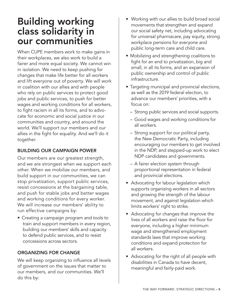### Building working class solidarity in our communities

When CUPE members work to make gains in their workplaces, we also work to build a fairer and more equal society. We cannot win in isolation. We need to keep pushing for changes that make life better for all workers and lift everyone out of poverty. We will work in coalition with our allies and with people who rely on public services to protect good jobs and public services, to push for better wages and working conditions for all workers, to fight racism in all its forms, and to advocate for economic and social justice in our communities and country, and around the world. We'll support our members and our allies in the fight for equality. And we'll do it together.

#### BUILDING OUR CAMPAIGN POWER

Our members are our greatest strength, and we are strongest when we support each other. When we mobilize our members, and build support in our communities, we can stop privatization, support public services, resist concessions at the bargaining table, and push for stable jobs and better wages and working conditions for every worker. We will increase our members' ability to run effective campaigns by:

• Creating a campaign program and tools to train and support members in every region, building our members' skills and capacity to defend public services, and to resist concessions across sectors.

#### ORGANIZING FOR CHANGE

We will keep organizing to influence all levels of government on the issues that matter to our members, and our communities. We'll do this by:

- Working with our allies to build broad social movements that strengthen and expand our social safety net, including advocating for universal pharmacare, pay equity, strong workplace pensions for everyone and public long-term care and child care.
- Mobilizing and strengthening coalitions to fight for an end to privatization, big and small, in all its forms, and an expansion of public ownership and control of public infrastructure.
- Targeting municipal and provincial elections, as well as the 2019 federal election, to advance our members' priorities, with a focus on:
	- Strong public services and social supports.
	- Good wages and working conditions for all workers.
	- Strong support for our political party, the New Democratic Party, including encouraging our members to get involved in the NDP, and stepped-up work to elect NDP candidates and governments.
	- A fairer election system through proportional representation in federal and provincial elections.
- Advocating for labour legislation which supports organizing workers in all sectors and growing the strength of the labour movement, and against legislation which limits workers' right to strike.
- Advocating for changes that improve the lives of all workers and raise the floor for everyone, including a higher minimum wage and strengthened employment standards laws that improve working conditions and expand protection for all workers.
- Advocating for the right of all people with disabilities in Canada to have decent, meaningful and fairly-paid work.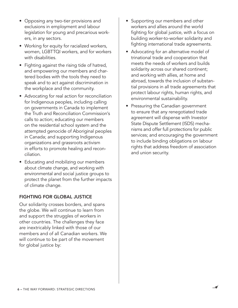- Opposing any two-tier provisions and exclusions in employment and labour legislation for young and precarious workers, in any sectors.
- Working for equity for racialized workers, women, LGBTTQI workers, and for workers with disabilities.
- Fighting against the rising tide of hatred, and empowering our members and chartered bodies with the tools they need to speak and to act against discrimination in the workplace and the community.
- Advocating for real action for reconciliation for Indigenous peoples, including calling on governments in Canada to implement the Truth and Reconciliation Commission's calls to action; educating our members on the residential school system and the attempted genocide of Aboriginal peoples in Canada; and supporting Indigenous organizations and grassroots activism in efforts to promote healing and reconciliation.
- Educating and mobilizing our members about climate change, and working with environmental and social justice groups to protect the planet from the further impacts of climate change.

#### FIGHTING FOR GLOBAL JUSTICE

Our solidarity crosses borders, and spans the globe. We will continue to learn from and support the struggles of workers in other countries. The challenges they face are inextricably linked with those of our members and of all Canadian workers. We will continue to be part of the movement for global justice by:

- Supporting our members and other workers and allies around the world fighting for global justice, with a focus on building worker-to-worker solidarity and fighting international trade agreements.
- Advocating for an alternative model of trinational trade and cooperation that meets the needs of workers and builds solidarity across our shared continent; and working with allies, at home and abroad, towards the inclusion of substantial provisions in all trade agreements that protect labour rights, human rights, and environmental sustainability.
- Pressuring the Canadian government to ensure that any renegotiated trade agreement will dispense with Investor State Dispute Settlement (ISDS) mechanisms and offer full protections for public services; and encouraging the government to include binding obligations on labour rights that address freedom of association and union security.